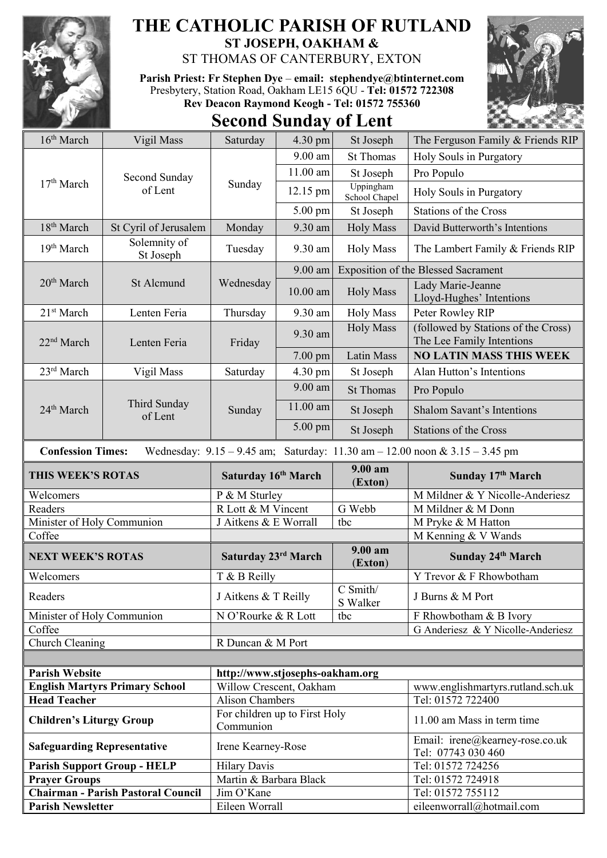

## **THE CATHOLIC PARISH OF RUTLAND ST JOSEPH, OAKHAM &**

ST THOMAS OF CANTERBURY, EXTON

**Parish Priest: Fr Stephen Dye** – **[email: stephendye@btinternet.com](mailto:email:%20%20stephendye@btinternet.com)** Presbytery, Station Road, Oakham LE15 6QU - **Tel: 01572 722308 Rev Deacon Raymond Keogh - Tel: 01572 755360**

## **Second Sunday of Lent**



| 16 <sup>th</sup> March                                                                                          | Vigil Mass                                | Saturday                                   | 4.30 pm    | St Joseph                                  | The Ferguson Family & Friends RIP                                |  |  |
|-----------------------------------------------------------------------------------------------------------------|-------------------------------------------|--------------------------------------------|------------|--------------------------------------------|------------------------------------------------------------------|--|--|
|                                                                                                                 | Second Sunday<br>of Lent                  | Sunday                                     | 9.00 am    | <b>St Thomas</b>                           | Holy Souls in Purgatory                                          |  |  |
| 17 <sup>th</sup> March                                                                                          |                                           |                                            | 11.00 am   | St Joseph                                  | Pro Populo                                                       |  |  |
|                                                                                                                 |                                           |                                            | 12.15 pm   | Uppingham<br>School Chapel                 | Holy Souls in Purgatory                                          |  |  |
|                                                                                                                 |                                           |                                            | 5.00 pm    | St Joseph                                  | Stations of the Cross                                            |  |  |
| 18 <sup>th</sup> March                                                                                          | St Cyril of Jerusalem                     | Monday                                     | 9.30 am    | <b>Holy Mass</b>                           | David Butterworth's Intentions                                   |  |  |
| 19 <sup>th</sup> March                                                                                          | Solemnity of<br>St Joseph                 | Tuesday                                    | 9.30 am    | Holy Mass                                  | The Lambert Family & Friends RIP                                 |  |  |
| 20 <sup>th</sup> March                                                                                          | St Alcmund                                | Wednesday                                  | 9.00 am    | <b>Exposition of the Blessed Sacrament</b> |                                                                  |  |  |
|                                                                                                                 |                                           |                                            | $10.00$ am | <b>Holy Mass</b>                           | Lady Marie-Jeanne<br>Lloyd-Hughes' Intentions                    |  |  |
| 21 <sup>st</sup> March                                                                                          | Lenten Feria                              | Thursday                                   | 9.30 am    | Holy Mass                                  | Peter Rowley RIP                                                 |  |  |
| 22 <sup>nd</sup> March                                                                                          | Lenten Feria                              | Friday                                     | 9.30 am    | <b>Holy Mass</b>                           | (followed by Stations of the Cross)<br>The Lee Family Intentions |  |  |
|                                                                                                                 |                                           |                                            | $7.00$ pm  | Latin Mass                                 | <b>NO LATIN MASS THIS WEEK</b>                                   |  |  |
| 23rd March                                                                                                      | Vigil Mass                                | Saturday                                   | 4.30 pm    | St Joseph                                  | Alan Hutton's Intentions                                         |  |  |
|                                                                                                                 | Third Sunday<br>of Lent                   | Sunday                                     | 9.00 am    | <b>St Thomas</b>                           | Pro Populo                                                       |  |  |
| 24 <sup>th</sup> March                                                                                          |                                           |                                            | $11.00$ am | St Joseph                                  | <b>Shalom Savant's Intentions</b>                                |  |  |
|                                                                                                                 |                                           |                                            | $5.00$ pm  | St Joseph                                  | <b>Stations of the Cross</b>                                     |  |  |
| Wednesday: $9.15 - 9.45$ am; Saturday: $11.30$ am $- 12.00$ noon & $3.15 - 3.45$ pm<br><b>Confession Times:</b> |                                           |                                            |            |                                            |                                                                  |  |  |
| THIS WEEK'S ROTAS                                                                                               |                                           | Saturday 16th March                        |            |                                            |                                                                  |  |  |
|                                                                                                                 |                                           |                                            |            | 9.00 am<br>(Exton)                         | Sunday 17th March                                                |  |  |
| Welcomers                                                                                                       |                                           | P & M Sturley                              |            |                                            | M Mildner & Y Nicolle-Anderiesz                                  |  |  |
| Readers                                                                                                         |                                           | R Lott & M Vincent                         |            | G Webb                                     | M Mildner & M Donn                                               |  |  |
| Minister of Holy Communion                                                                                      |                                           | J Aitkens & E Worrall                      |            | tbc                                        | M Pryke & M Hatton                                               |  |  |
| Coffee                                                                                                          |                                           |                                            |            |                                            | M Kenning & V Wands                                              |  |  |
| <b>NEXT WEEK'S ROTAS</b>                                                                                        |                                           | Saturday 23rd March                        |            | 9.00 am<br>(Exton)                         | Sunday 24th March                                                |  |  |
| Welcomers                                                                                                       |                                           | T & B Reilly                               |            |                                            | Y Trevor & F Rhowbotham                                          |  |  |
| Readers                                                                                                         |                                           | J Aitkens & T Reilly                       |            | C Smith/<br>S Walker                       | J Burns & M Port                                                 |  |  |
| Minister of Holy Communion                                                                                      |                                           | N O'Rourke & R Lott                        |            | tbc                                        | F Rhowbotham & B Ivory                                           |  |  |
| Coffee                                                                                                          |                                           |                                            |            |                                            | G Anderiesz & Y Nicolle-Anderiesz                                |  |  |
| Church Cleaning                                                                                                 |                                           | R Duncan & M Port                          |            |                                            |                                                                  |  |  |
|                                                                                                                 |                                           |                                            |            |                                            |                                                                  |  |  |
| <b>Parish Website</b>                                                                                           |                                           | http://www.stjosephs-oakham.org            |            |                                            |                                                                  |  |  |
|                                                                                                                 | <b>English Martyrs Primary School</b>     | Willow Crescent, Oakham                    |            |                                            | www.englishmartyrs.rutland.sch.uk                                |  |  |
| <b>Head Teacher</b>                                                                                             |                                           | <b>Alison Chambers</b>                     |            |                                            | Tel: 01572 722400                                                |  |  |
| <b>Children's Liturgy Group</b>                                                                                 |                                           | For children up to First Holy<br>Communion |            |                                            | 11.00 am Mass in term time                                       |  |  |
| <b>Safeguarding Representative</b>                                                                              |                                           | Irene Kearney-Rose                         |            |                                            | Email: irene@kearney-rose.co.uk<br>Tel: 07743 030 460            |  |  |
|                                                                                                                 | <b>Parish Support Group - HELP</b>        | <b>Hilary Davis</b>                        |            |                                            | Tel: 01572 724256                                                |  |  |
| <b>Prayer Groups</b>                                                                                            |                                           | Martin & Barbara Black                     |            |                                            | Tel: 01572 724918                                                |  |  |
| <b>Parish Newsletter</b>                                                                                        | <b>Chairman - Parish Pastoral Council</b> | Jim O'Kane<br>Eileen Worrall               |            |                                            | Tel: 01572 755112<br>eileenworrall@hotmail.com                   |  |  |